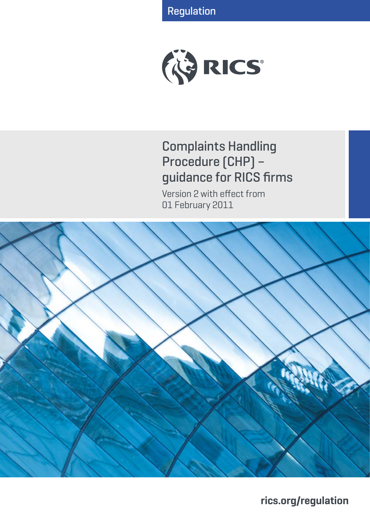Regulation



# Complaints Handling Procedure (CHP) – guidance for RICS firms

Version 2 with effect from 01 February 2011



**rics.org/regulation**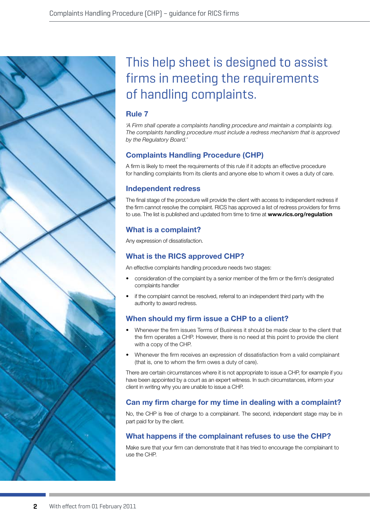# This help sheet is designed to assist firms in meeting the requirements of handling complaints.

## **Rule 7**

*'A Firm shall operate a complaints handling procedure and maintain a complaints log. The complaints handling procedure must include a redress mechanism that is approved by the Regulatory Board.'*

# **Complaints Handling Procedure (CHP)**

A firm is likely to meet the requirements of this rule if it adopts an effective procedure for handling complaints from its clients and anyone else to whom it owes a duty of care.

# **Independent redress**

The final stage of the procedure will provide the client with access to independent redress if the firm cannot resolve the complaint. RICS has approved a list of redress providers for firms to use. The list is published and updated from time to time at **www.rics.org/regulation**

# **What is a complaint?**

Any expression of dissatisfaction.

# **What is the RICS approved CHP?**

An effective complaints handling procedure needs two stages:

- consideration of the complaint by a senior member of the firm or the firm's designated complaints handler
- if the complaint cannot be resolved, referral to an independent third party with the authority to award redress.

# **When should my firm issue a CHP to a client?**

- Whenever the firm issues Terms of Business it should be made clear to the client that the firm operates a CHP. However, there is no need at this point to provide the client with a copy of the CHP.
- Whenever the firm receives an expression of dissatisfaction from a valid complainant (that is, one to whom the firm owes a duty of care).

There are certain circumstances where it is not appropriate to issue a CHP, for example if you have been appointed by a court as an expert witness. In such circumstances, inform your client in writing why you are unable to issue a CHP.

# **Can my firm charge for my time in dealing with a complaint?**

No, the CHP is free of charge to a complainant. The second, independent stage may be in part paid for by the client.

## **What happens if the complainant refuses to use the CHP?**

Make sure that your firm can demonstrate that it has tried to encourage the complainant to use the CHP.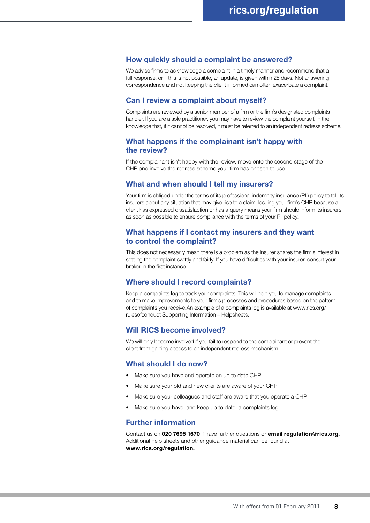## **How quickly should a complaint be answered?**

We advise firms to acknowledge a complaint in a timely manner and recommend that a full response, or if this is not possible, an update, is given within 28 days. Not answering correspondence and not keeping the client informed can often exacerbate a complaint.

## **Can I review a complaint about myself?**

Complaints are reviewed by a senior member of a firm or the firm's designated complaints handler. If you are a sole practitioner, you may have to review the complaint yourself, in the knowledge that, if it cannot be resolved, it must be referred to an independent redress scheme.

## **What happens if the complainant isn't happy with the review?**

If the complainant isn't happy with the review, move onto the second stage of the CHP and involve the redress scheme your firm has chosen to use.

## **What and when should I tell my insurers?**

Your firm is obliged under the terms of its professional indemnity insurance (PII) policy to tell its insurers about any situation that may give rise to a claim. Issuing your firm's CHP because a client has expressed dissatisfaction or has a query means your firm should inform its insurers as soon as possible to ensure compliance with the terms of your PII policy.

## **What happens if I contact my insurers and they want to control the complaint?**

This does not necessarily mean there is a problem as the insurer shares the firm's interest in settling the complaint swiftly and fairly. If you have difficulties with your insurer, consult your broker in the first instance.

## **Where should I record complaints?**

Keep a complaints log to track your complaints. This will help you to manage complaints and to make improvements to your firm's processes and procedures based on the pattern of complaints you receive.An example of a complaints log is available at www.rics.org/ rulesofconduct Supporting Information – Helpsheets.

## **Will RICS become involved?**

We will only become involved if you fail to respond to the complainant or prevent the client from gaining access to an independent redress mechanism.

## **What should I do now?**

- Make sure you have and operate an up to date CHP
- Make sure your old and new clients are aware of your CHP
- Make sure your colleagues and staff are aware that you operate a CHP
- Make sure you have, and keep up to date, a complaints log

## **Further information**

Contact us on **020 7695 1670** if have further questions or **email regulation@rics.org.**  Additional help sheets and other guidance material can be found at **www.rics.org/regulation.**